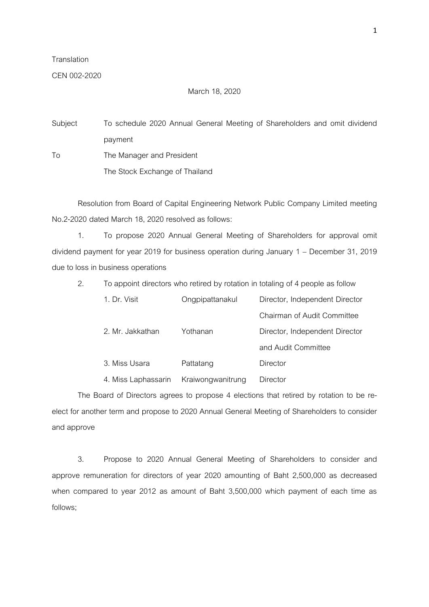## **Translation**

## CEN 002-2020

## March 18, 2020

Subject To schedule 2020 Annual General Meeting of Shareholders and omit dividend payment To The Manager and President The Stock Exchange of Thailand

Resolution from Board of Capital Engineering Network Public Company Limited meeting No.2-2020 dated March 18, 2020 resolved as follows:

1. To propose 2020 Annual General Meeting of Shareholders for approval omit dividend payment for year 2019 for business operation during January 1 – December 31, 2019 due to loss in business operations

| 2. | To appoint directors who retired by rotation in totaling of 4 people as follow |                   |                                |  |
|----|--------------------------------------------------------------------------------|-------------------|--------------------------------|--|
|    | 1. Dr. Visit                                                                   | Ongpipattanakul   | Director, Independent Director |  |
|    |                                                                                |                   | Chairman of Audit Committee    |  |
|    | 2. Mr. Jakkathan                                                               | Yothanan          | Director, Independent Director |  |
|    |                                                                                |                   | and Audit Committee            |  |
|    | 3. Miss Usara                                                                  | Pattatang         | Director                       |  |
|    | 4. Miss Laphassarin                                                            | Kraiwongwanitrung | Director                       |  |

The Board of Directors agrees to propose 4 elections that retired by rotation to be reelect for another term and propose to 2020 Annual General Meeting of Shareholders to consider and approve

3. Propose to 2020 Annual General Meeting of Shareholders to consider and approve remuneration for directors of year 2020 amounting of Baht 2,500,000 as decreased when compared to year 2012 as amount of Baht 3,500,000 which payment of each time as follows;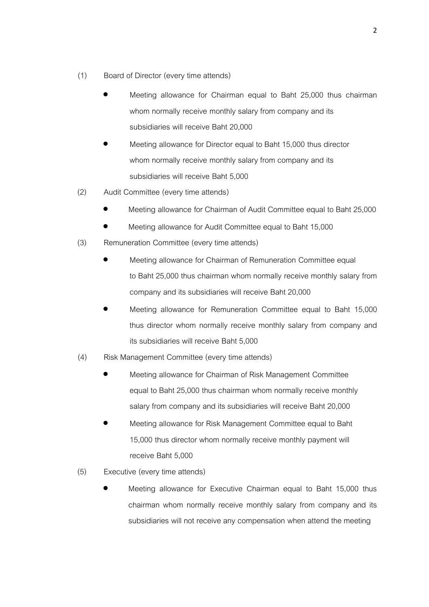- (1) Board of Director (every time attends)
	- Meeting allowance for Chairman equal to Baht 25,000 thus chairman whom normally receive monthly salary from company and its subsidiaries will receive Baht 20,000
	- Meeting allowance for Director equal to Baht 15,000 thus director whom normally receive monthly salary from company and its subsidiaries will receive Baht 5,000
- (2) Audit Committee (every time attends)
	- Meeting allowance for Chairman of Audit Committee equal to Baht 25,000
	- Meeting allowance for Audit Committee equal to Baht 15,000
- (3) Remuneration Committee (every time attends)
	- Meeting allowance for Chairman of Remuneration Committee equal to Baht 25,000 thus chairman whom normally receive monthly salary from company and its subsidiaries will receive Baht 20,000
	- Meeting allowance for Remuneration Committee equal to Baht 15,000 thus director whom normally receive monthly salary from company and its subsidiaries will receive Baht 5,000
- (4) Risk Management Committee (every time attends)
	- Meeting allowance for Chairman of Risk Management Committee equal to Baht 25,000 thus chairman whom normally receive monthly salary from company and its subsidiaries will receive Baht 20,000
	- Meeting allowance for Risk Management Committee equal to Baht 15,000 thus director whom normally receive monthly payment will receive Baht 5,000
- (5) Executive (every time attends)
	- Meeting allowance for Executive Chairman equal to Baht 15,000 thus chairman whom normally receive monthly salary from company and its subsidiaries will not receive any compensation when attend the meeting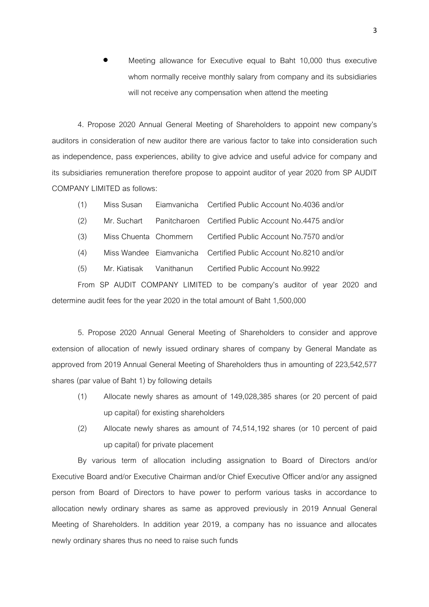Meeting allowance for Executive equal to Baht 10,000 thus executive whom normally receive monthly salary from company and its subsidiaries will not receive any compensation when attend the meeting

4. Propose 2020 Annual General Meeting of Shareholders to appoint new company's auditors in consideration of new auditor there are various factor to take into consideration such as independence, pass experiences, ability to give advice and useful advice for company and its subsidiaries remuneration therefore propose to appoint auditor of year 2020 from SP AUDIT COMPANY LIMITED as follows:

| (1) | Miss Susan | Eiamvanicha Certified Public Account No.4036 and/or |
|-----|------------|-----------------------------------------------------|
|     |            |                                                     |

- (2) Mr. Suchart Panitcharoen Certified Public Account No.4475 and/or
- (3) Miss Chuenta Chommern Certified Public Account No.7570 and/or
- (4) Miss Wandee Eiamvanicha Certified Public Account No.8210 and/or
- (5) Mr. Kiatisak Vanithanun Certified Public Account No.9922

From SP AUDIT COMPANY LIMITED to be company's auditor of year 2020 and determine audit fees for the year 2020 in the total amount of Baht 1,500,000

5. Propose 2020 Annual General Meeting of Shareholders to consider and approve extension of allocation of newly issued ordinary shares of company by General Mandate as approved from 2019 Annual General Meeting of Shareholders thus in amounting of 223,542,577 shares (par value of Baht 1) by following details

- (1) Allocate newly shares as amount of 149,028,385 shares (or 20 percent of paid up capital) for existing shareholders
- (2) Allocate newly shares as amount of 74,514,192 shares (or 10 percent of paid up capital) for private placement

By various term of allocation including assignation to Board of Directors and/or Executive Board and/or Executive Chairman and/or Chief Executive Officer and/or any assigned person from Board of Directors to have power to perform various tasks in accordance to allocation newly ordinary shares as same as approved previously in 2019 Annual General Meeting of Shareholders. In addition year 2019, a company has no issuance and allocates newly ordinary shares thus no need to raise such funds